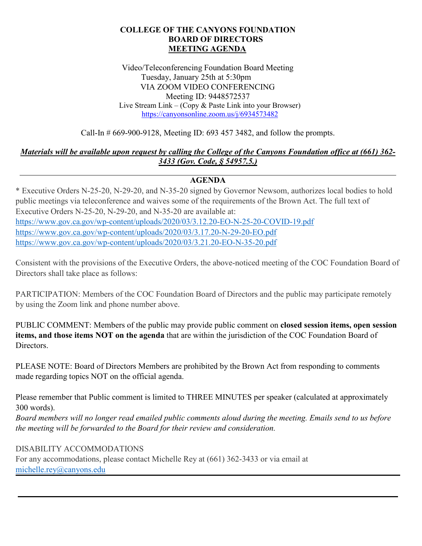#### **COLLEGE OF THE CANYONS FOUNDATION BOARD OF DIRECTORS MEETING AGENDA**

Video/Teleconferencing Foundation Board Meeting Tuesday, January 25th at 5:30pm VIA ZOOM VIDEO CONFERENCING Meeting ID: 9448572537 Live Stream Link – (Copy & Paste Link into your Browser) <https://canyonsonline.zoom.us/j/6934573482>

Call-In # 669-900-9128, Meeting ID: 693 457 3482, and follow the prompts.

### *Materials will be available upon request by calling the College of the Canyons Foundation office at (661) 362- 3433 (Gov. Code, § 54957.5.)*

## **AGENDA**

\* Executive Orders N-25-20, N-29-20, and N-35-20 signed by Governor Newsom, authorizes local bodies to hold public meetings via teleconference and waives some of the requirements of the Brown Act. The full text of Executive Orders N-25-20, N-29-20, and N-35-20 are available at: <https://www.gov.ca.gov/wp-content/uploads/2020/03/3.12.20-EO-N-25-20-COVID-19.pdf> <https://www.gov.ca.gov/wp-content/uploads/2020/03/3.17.20-N-29-20-EO.pdf> <https://www.gov.ca.gov/wp-content/uploads/2020/03/3.21.20-EO-N-35-20.pdf>

Consistent with the provisions of the Executive Orders, the above-noticed meeting of the COC Foundation Board of Directors shall take place as follows:

PARTICIPATION: Members of the COC Foundation Board of Directors and the public may participate remotely by using the Zoom link and phone number above.

PUBLIC COMMENT: Members of the public may provide public comment on **closed session items, open session items, and those items NOT on the agenda** that are within the jurisdiction of the COC Foundation Board of Directors.

PLEASE NOTE: Board of Directors Members are prohibited by the Brown Act from responding to comments made regarding topics NOT on the official agenda.

Please remember that Public comment is limited to THREE MINUTES per speaker (calculated at approximately 300 words).

*Board members will no longer read emailed public comments aloud during the meeting. Emails send to us before the meeting will be forwarded to the Board for their review and consideration.*

#### DISABILITY ACCOMMODATIONS

For any accommodations, please contact Michelle Rey at (661) 362-3433 or via email at [michelle.rey@canyons.edu](mailto:michelle.rey@canyons.edu)